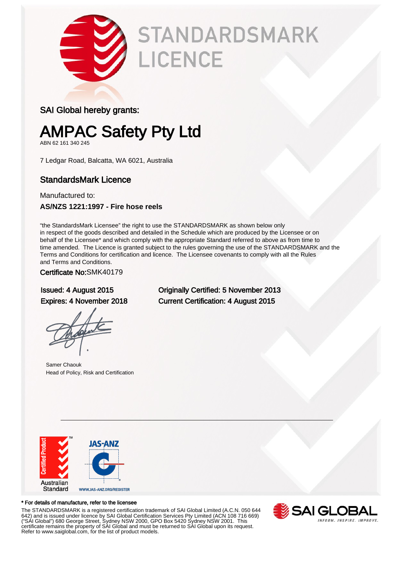

# **STANDARDSMARK** LICENCE

### SAI Global hereby grants:

### AMPAC Safety Pty Ltd

ABN 62 161 340 245

7 Ledgar Road, Balcatta, WA 6021, Australia

### StandardsMark Licence

Manufactured to: **AS/NZS 1221:1997 - Fire hose reels**

"the StandardsMark Licensee" the right to use the STANDARDSMARK as shown below only in respect of the goods described and detailed in the Schedule which are produced by the Licensee or on behalf of the Licensee\* and which comply with the appropriate Standard referred to above as from time to time amended. The Licence is granted subject to the rules governing the use of the STANDARDSMARK and the Terms and Conditions for certification and licence. The Licensee covenants to comply with all the Rules and Terms and Conditions.

#### Certificate No:SMK40179

Samer Chaouk Head of Policy, Risk and Certification

Issued: 4 August 2015 Originally Certified: 5 November 2013 Expires: 4 November 2018 Current Certification: 4 August 2015



#### \* For details of manufacture, refer to the licensee

The STANDARDSMARK is a registered certification trademark of SAI Global Limited (A.C.N. 050 644 642) and is issued under licence by SAI Global Certification Services Pty Limited (ACN 108 716 669) ("SAI Global") 680 George Street, Sydney NSW 2000, GPO Box 5420 Sydney NSW 2001. This certificate remains the property of SAI Global and must be returned to SAI Global upon its request. Refer to www.saiglobal.com, for the list of product models.